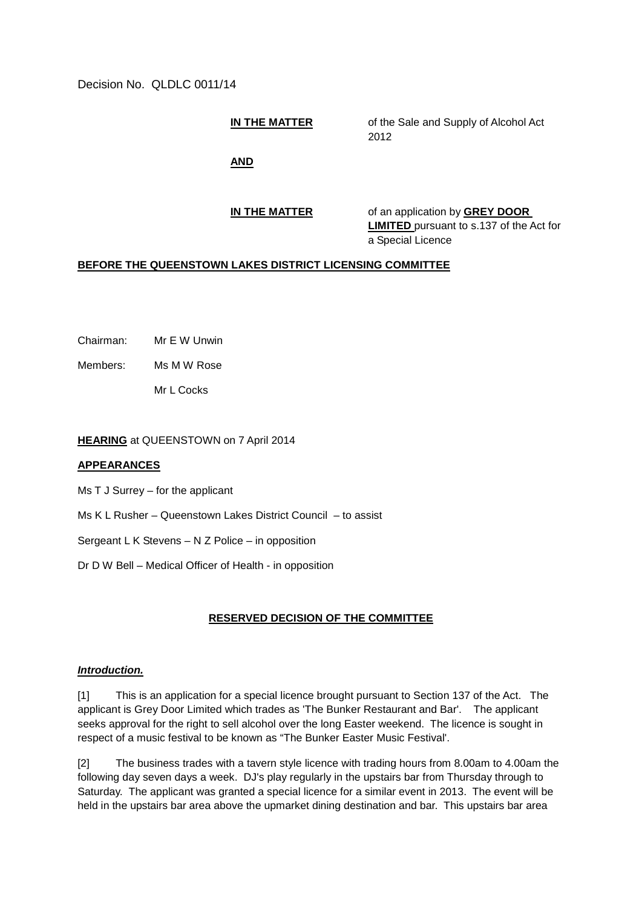Decision No. QLDLC 0011/14

**IN THE MATTER** of the Sale and Supply of Alcohol Act 2012

**AND**

**IN THE MATTER** of an application by **GREY DOOR LIMITED** pursuant to s.137 of the Act for a Special Licence

## **BEFORE THE QUEENSTOWN LAKES DISTRICT LICENSING COMMITTEE**

Chairman: Mr E W Unwin

Members: Ms M W Rose

Mr L Cocks

### **HEARING** at QUEENSTOWN on 7 April 2014

### **APPEARANCES**

Ms T J Surrey – for the applicant

Ms K L Rusher – Queenstown Lakes District Council – to assist

Sergeant L K Stevens – N Z Police – in opposition

Dr D W Bell – Medical Officer of Health - in opposition

### **RESERVED DECISION OF THE COMMITTEE**

### *Introduction.*

[1] This is an application for a special licence brought pursuant to Section 137 of the Act. The applicant is Grey Door Limited which trades as 'The Bunker Restaurant and Bar'. The applicant seeks approval for the right to sell alcohol over the long Easter weekend. The licence is sought in respect of a music festival to be known as "The Bunker Easter Music Festival'.

[2] The business trades with a tavern style licence with trading hours from 8.00am to 4.00am the following day seven days a week. DJ's play regularly in the upstairs bar from Thursday through to Saturday. The applicant was granted a special licence for a similar event in 2013. The event will be held in the upstairs bar area above the upmarket dining destination and bar. This upstairs bar area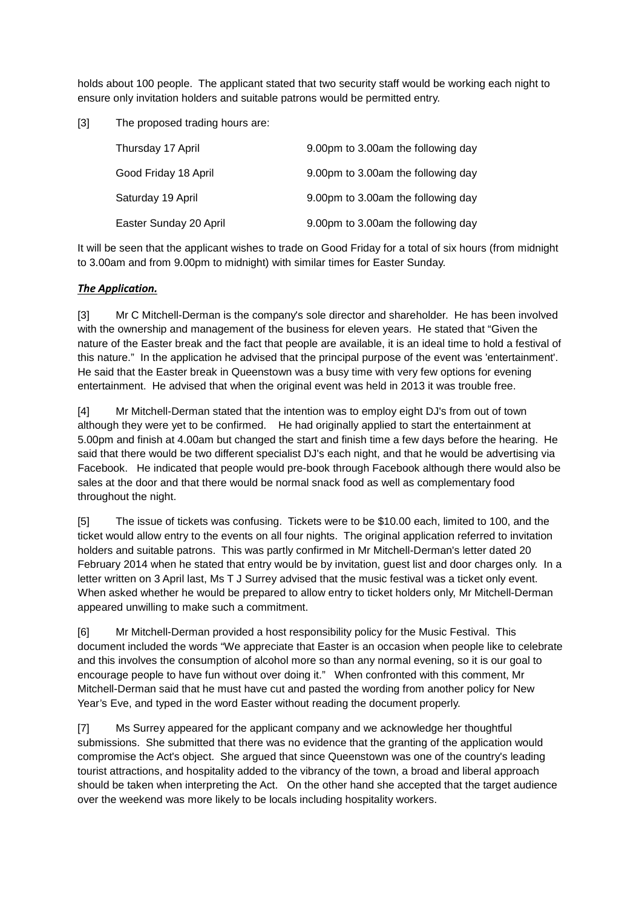holds about 100 people. The applicant stated that two security staff would be working each night to ensure only invitation holders and suitable patrons would be permitted entry.

[3] The proposed trading hours are:

| Thursday 17 April      | 9.00pm to 3.00am the following day |
|------------------------|------------------------------------|
| Good Friday 18 April   | 9.00pm to 3.00am the following day |
| Saturday 19 April      | 9.00pm to 3.00am the following day |
| Easter Sunday 20 April | 9.00pm to 3.00am the following day |

It will be seen that the applicant wishes to trade on Good Friday for a total of six hours (from midnight to 3.00am and from 9.00pm to midnight) with similar times for Easter Sunday.

### *The Application.*

[3] Mr C Mitchell-Derman is the company's sole director and shareholder. He has been involved with the ownership and management of the business for eleven years. He stated that "Given the nature of the Easter break and the fact that people are available, it is an ideal time to hold a festival of this nature." In the application he advised that the principal purpose of the event was 'entertainment'. He said that the Easter break in Queenstown was a busy time with very few options for evening entertainment. He advised that when the original event was held in 2013 it was trouble free.

[4] Mr Mitchell-Derman stated that the intention was to employ eight DJ's from out of town although they were yet to be confirmed. He had originally applied to start the entertainment at 5.00pm and finish at 4.00am but changed the start and finish time a few days before the hearing. He said that there would be two different specialist DJ's each night, and that he would be advertising via Facebook. He indicated that people would pre-book through Facebook although there would also be sales at the door and that there would be normal snack food as well as complementary food throughout the night.

[5] The issue of tickets was confusing. Tickets were to be \$10.00 each, limited to 100, and the ticket would allow entry to the events on all four nights. The original application referred to invitation holders and suitable patrons. This was partly confirmed in Mr Mitchell-Derman's letter dated 20 February 2014 when he stated that entry would be by invitation, guest list and door charges only. In a letter written on 3 April last, Ms T J Surrey advised that the music festival was a ticket only event. When asked whether he would be prepared to allow entry to ticket holders only, Mr Mitchell-Derman appeared unwilling to make such a commitment.

[6] Mr Mitchell-Derman provided a host responsibility policy for the Music Festival. This document included the words "We appreciate that Easter is an occasion when people like to celebrate and this involves the consumption of alcohol more so than any normal evening, so it is our goal to encourage people to have fun without over doing it." When confronted with this comment, Mr Mitchell-Derman said that he must have cut and pasted the wording from another policy for New Year's Eve, and typed in the word Easter without reading the document properly.

[7] Ms Surrey appeared for the applicant company and we acknowledge her thoughtful submissions. She submitted that there was no evidence that the granting of the application would compromise the Act's object. She argued that since Queenstown was one of the country's leading tourist attractions, and hospitality added to the vibrancy of the town, a broad and liberal approach should be taken when interpreting the Act. On the other hand she accepted that the target audience over the weekend was more likely to be locals including hospitality workers.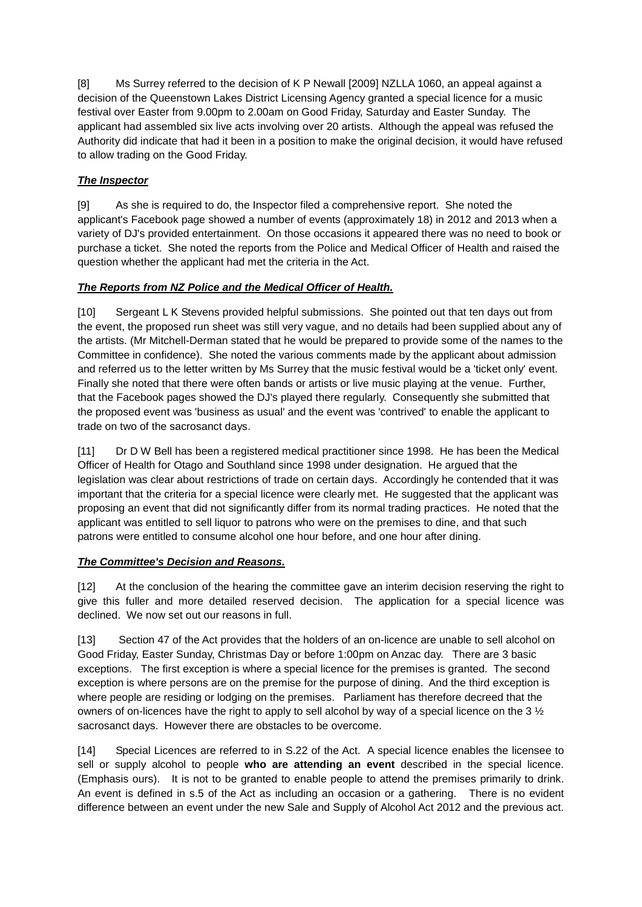[8] Ms Surrey referred to the decision of K P Newall [2009] NZLLA 1060, an appeal against a decision of the Queenstown Lakes District Licensing Agency granted a special licence for a music festival over Easter from 9.00pm to 2.00am on Good Friday, Saturday and Easter Sunday. The applicant had assembled six live acts involving over 20 artists. Although the appeal was refused the Authority did indicate that had it been in a position to make the original decision, it would have refused to allow trading on the Good Friday.

# *The Inspector*

[9] As she is required to do, the Inspector filed a comprehensive report. She noted the applicant's Facebook page showed a number of events (approximately 18) in 2012 and 2013 when a variety of DJ's provided entertainment. On those occasions it appeared there was no need to book or purchase a ticket. She noted the reports from the Police and Medical Officer of Health and raised the question whether the applicant had met the criteria in the Act.

# *The Reports from NZ Police and the Medical Officer of Health.*

[10] Sergeant L K Stevens provided helpful submissions. She pointed out that ten days out from the event, the proposed run sheet was still very vague, and no details had been supplied about any of the artists. (Mr Mitchell-Derman stated that he would be prepared to provide some of the names to the Committee in confidence). She noted the various comments made by the applicant about admission and referred us to the letter written by Ms Surrey that the music festival would be a 'ticket only' event. Finally she noted that there were often bands or artists or live music playing at the venue. Further, that the Facebook pages showed the DJ's played there regularly. Consequently she submitted that the proposed event was 'business as usual' and the event was 'contrived' to enable the applicant to trade on two of the sacrosanct days.

[11] Dr D W Bell has been a registered medical practitioner since 1998. He has been the Medical Officer of Health for Otago and Southland since 1998 under designation. He argued that the legislation was clear about restrictions of trade on certain days. Accordingly he contended that it was important that the criteria for a special licence were clearly met. He suggested that the applicant was proposing an event that did not significantly differ from its normal trading practices. He noted that the applicant was entitled to sell liquor to patrons who were on the premises to dine, and that such patrons were entitled to consume alcohol one hour before, and one hour after dining.

# *The Committee's Decision and Reasons.*

[12] At the conclusion of the hearing the committee gave an interim decision reserving the right to give this fuller and more detailed reserved decision. The application for a special licence was declined. We now set out our reasons in full.

[13] Section 47 of the Act provides that the holders of an on-licence are unable to sell alcohol on Good Friday, Easter Sunday, Christmas Day or before 1:00pm on Anzac day. There are 3 basic exceptions. The first exception is where a special licence for the premises is granted. The second exception is where persons are on the premise for the purpose of dining. And the third exception is where people are residing or lodging on the premises. Parliament has therefore decreed that the owners of on-licences have the right to apply to sell alcohol by way of a special licence on the 3 ½ sacrosanct days. However there are obstacles to be overcome.

[14] Special Licences are referred to in S.22 of the Act. A special licence enables the licensee to sell or supply alcohol to people **who are attending an event** described in the special licence. (Emphasis ours). It is not to be granted to enable people to attend the premises primarily to drink. An event is defined in s.5 of the Act as including an occasion or a gathering. There is no evident difference between an event under the new Sale and Supply of Alcohol Act 2012 and the previous act.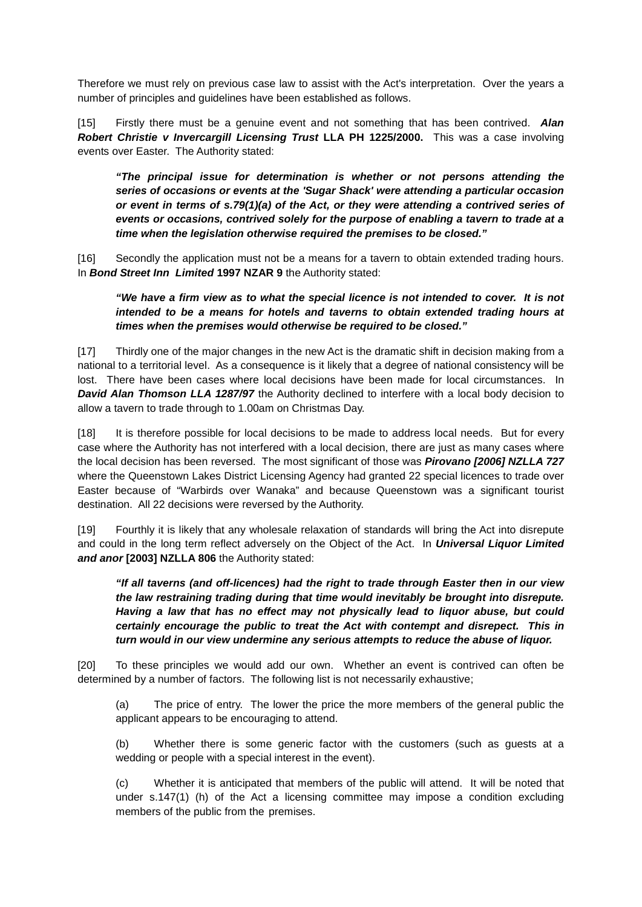Therefore we must rely on previous case law to assist with the Act's interpretation. Over the years a number of principles and guidelines have been established as follows.

[15] Firstly there must be a genuine event and not something that has been contrived. *Alan Robert Christie v Invercargill Licensing Trust* **LLA PH 1225/2000.** This was a case involving events over Easter. The Authority stated:

*"The principal issue for determination is whether or not persons attending the series of occasions or events at the 'Sugar Shack' were attending a particular occasion or event in terms of s.79(1)(a) of the Act, or they were attending a contrived series of events or occasions, contrived solely for the purpose of enabling a tavern to trade at a time when the legislation otherwise required the premises to be closed."*

[16] Secondly the application must not be a means for a tavern to obtain extended trading hours. In *Bond Street Inn Limited* **1997 NZAR 9** the Authority stated:

*"We have a firm view as to what the special licence is not intended to cover. It is not intended to be a means for hotels and taverns to obtain extended trading hours at times when the premises would otherwise be required to be closed."*

[17] Thirdly one of the major changes in the new Act is the dramatic shift in decision making from a national to a territorial level. As a consequence is it likely that a degree of national consistency will be lost. There have been cases where local decisions have been made for local circumstances. In *David Alan Thomson LLA 1287/97* the Authority declined to interfere with a local body decision to allow a tavern to trade through to 1.00am on Christmas Day.

[18] It is therefore possible for local decisions to be made to address local needs. But for every case where the Authority has not interfered with a local decision, there are just as many cases where the local decision has been reversed. The most significant of those was *Pirovano [2006] NZLLA 727*  where the Queenstown Lakes District Licensing Agency had granted 22 special licences to trade over Easter because of "Warbirds over Wanaka" and because Queenstown was a significant tourist destination. All 22 decisions were reversed by the Authority.

[19] Fourthly it is likely that any wholesale relaxation of standards will bring the Act into disrepute and could in the long term reflect adversely on the Object of the Act. In *Universal Liquor Limited and anor* **[2003] NZLLA 806** the Authority stated:

*"If all taverns (and off-licences) had the right to trade through Easter then in our view the law restraining trading during that time would inevitably be brought into disrepute. Having a law that has no effect may not physically lead to liquor abuse, but could certainly encourage the public to treat the Act with contempt and disrepect. This in turn would in our view undermine any serious attempts to reduce the abuse of liquor.*

[20] To these principles we would add our own. Whether an event is contrived can often be determined by a number of factors. The following list is not necessarily exhaustive;

(a) The price of entry. The lower the price the more members of the general public the applicant appears to be encouraging to attend.

(b) Whether there is some generic factor with the customers (such as guests at a wedding or people with a special interest in the event).

(c) Whether it is anticipated that members of the public will attend. It will be noted that under s.147(1) (h) of the Act a licensing committee may impose a condition excluding members of the public from the premises.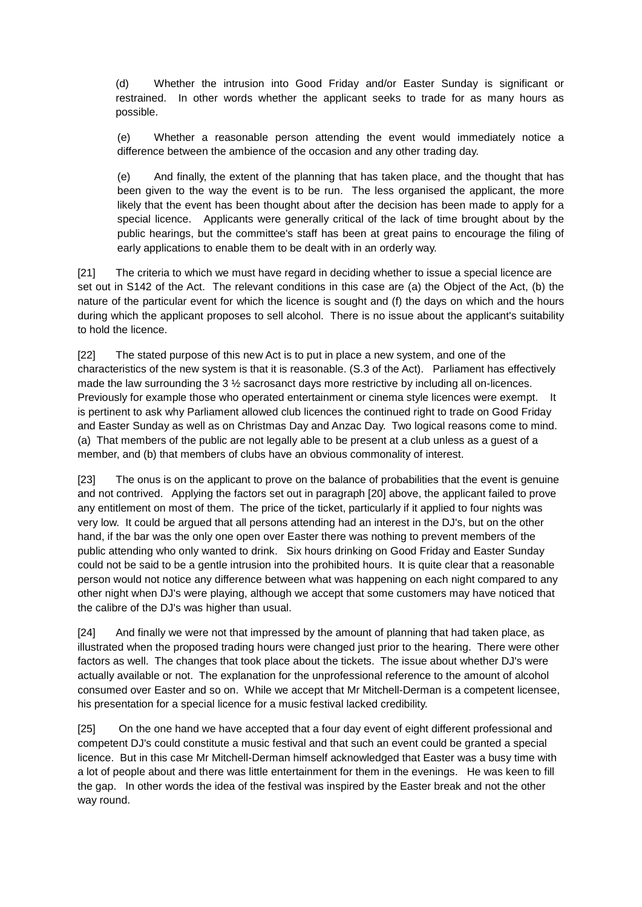(d) Whether the intrusion into Good Friday and/or Easter Sunday is significant or restrained. In other words whether the applicant seeks to trade for as many hours as possible.

(e) Whether a reasonable person attending the event would immediately notice a difference between the ambience of the occasion and any other trading day.

(e) And finally, the extent of the planning that has taken place, and the thought that has been given to the way the event is to be run. The less organised the applicant, the more likely that the event has been thought about after the decision has been made to apply for a special licence. Applicants were generally critical of the lack of time brought about by the public hearings, but the committee's staff has been at great pains to encourage the filing of early applications to enable them to be dealt with in an orderly way.

[21] The criteria to which we must have regard in deciding whether to issue a special licence are set out in S142 of the Act. The relevant conditions in this case are (a) the Object of the Act, (b) the nature of the particular event for which the licence is sought and (f) the days on which and the hours during which the applicant proposes to sell alcohol. There is no issue about the applicant's suitability to hold the licence.

[22] The stated purpose of this new Act is to put in place a new system, and one of the characteristics of the new system is that it is reasonable. (S.3 of the Act). Parliament has effectively made the law surrounding the 3 ½ sacrosanct days more restrictive by including all on-licences. Previously for example those who operated entertainment or cinema style licences were exempt. It is pertinent to ask why Parliament allowed club licences the continued right to trade on Good Friday and Easter Sunday as well as on Christmas Day and Anzac Day. Two logical reasons come to mind. (a) That members of the public are not legally able to be present at a club unless as a guest of a member, and (b) that members of clubs have an obvious commonality of interest.

[23] The onus is on the applicant to prove on the balance of probabilities that the event is genuine and not contrived. Applying the factors set out in paragraph [20] above, the applicant failed to prove any entitlement on most of them. The price of the ticket, particularly if it applied to four nights was very low. It could be argued that all persons attending had an interest in the DJ's, but on the other hand, if the bar was the only one open over Easter there was nothing to prevent members of the public attending who only wanted to drink. Six hours drinking on Good Friday and Easter Sunday could not be said to be a gentle intrusion into the prohibited hours. It is quite clear that a reasonable person would not notice any difference between what was happening on each night compared to any other night when DJ's were playing, although we accept that some customers may have noticed that the calibre of the DJ's was higher than usual.

[24] And finally we were not that impressed by the amount of planning that had taken place, as illustrated when the proposed trading hours were changed just prior to the hearing. There were other factors as well. The changes that took place about the tickets. The issue about whether DJ's were actually available or not. The explanation for the unprofessional reference to the amount of alcohol consumed over Easter and so on. While we accept that Mr Mitchell-Derman is a competent licensee, his presentation for a special licence for a music festival lacked credibility.

[25] On the one hand we have accepted that a four day event of eight different professional and competent DJ's could constitute a music festival and that such an event could be granted a special licence. But in this case Mr Mitchell-Derman himself acknowledged that Easter was a busy time with a lot of people about and there was little entertainment for them in the evenings. He was keen to fill the gap. In other words the idea of the festival was inspired by the Easter break and not the other way round.